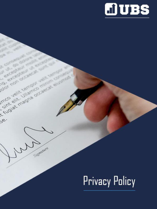

# **Privacy Policy**

ur ut. do dolore later of Certification model and

 $38.$ 

olor non occasion sum as

Imco velit tempor velit tempor av

is fugiat magna occasion european

Signature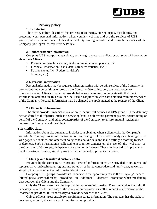

## **Privacy policy**

## **1. Introduction**

The privacy policy describes the process of collecting, storing, using, distributing, and protecting your personal information when youvisit websites and use the services of UBSgroups., which contain links tothis statement. By visiting websites and usingthe services of the Company you agree to this Privacy Policy.

## **2. Collect customer information**

Company UBS-groups. independently or through agents can collectseveral types of information about their Clients:

- Personal information (name, address, e-mail, contact phone, etc.);
- Financial information (bank details,transfer statistics, etc.);
- Data on site traffic (IP address, visitor's browser, etc.).

## **2.1. Personal information**

Personal information may be required whenregistering with certain services of the Company, in promotions and competitions offered by the Company. We collect only the most necessary information about Clients in order to provide better services or to communicate with theClient. Information obtained in this way can be usedin conjunction with data obtained from otherservices of the Company. Personal information may be changed or supplemented at the request of the Client.

## **2.2 Financial Information**

The client provides financial information to receive full services at UBS-groups. These data may be transferred to thirdparties, such as a servicing bank, an electronic payment system, agents acting on behalf of the Company, and other counterparties of the Company, to ensure mutual settlements between the Company and the Client.

## **Site traffic data**

Information about site attendance includesdata obtained when a client visits the Company's website. Most non-personal information is collected using cookies or other analysis technologies. The web pages use cookies, and other technologies to analyze data and make settings according to user preferences. Such information is collected to account for statistics on the use of the websites of the Company UBS-groups., theirperformance and effectiveness. They can be used to improve the level of customer service, simplify work with the site and improve its materials.

## **1. Storage and transfer of customer data**

Provided by the company UBS-groups. Personal information may be provided to its agents and representative officesin other regions and states in order to consolidate and unify data, as well as simplify the management of information about users.

Company UBS-groups. provides its Clients with the opportunity to use the Company's secure internal postal service,thereby providing an additional degreeof protection when transferring data between the Client and the Company.

Only the Client is responsible forproviding accurate information. The companyhas the right, if necessary, to verify the accuracyof the information provided, as well as request confirmation of the information provided, if it isnecessary to provide services to the Client.

Only the Client isresponsible for providingaccurate information. The company has the right, if necessary, to verify the accuracy of the information provided.